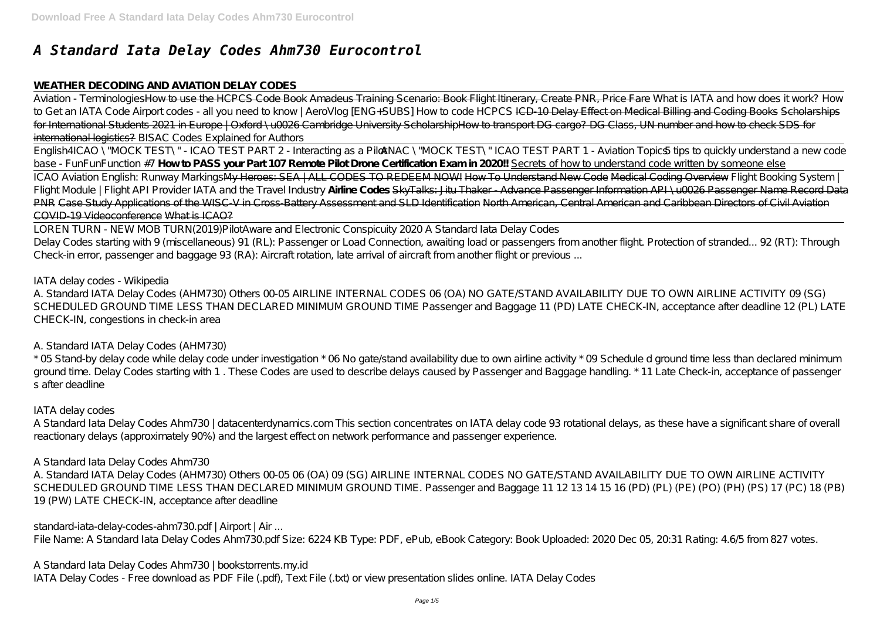# *A Standard Iata Delay Codes Ahm730 Eurocontrol*

### **WEATHER DECODING AND AVIATION DELAY CODES**

Aviation - TerminologiesHow to use the HCPCS Code Book Amadeus Training Scenario: Book Flight Itinerary, Create PNR, Price Fare *What is IATA and how does it work?* How to Get an IATA Code Airport codes - all you need to know | AeroVlog [ENG+SUBS] How to code HCPCS ICD-10 Delay Effect on Medical Billing and Coding Books Scholarships for International Students 2021 in Europe | Oxford \u0026 Cambridge University ScholarshipHow to transport DG cargo? DG Class, UN number and how to check SDS for international logistics? *BISAC Codes Explained for Authors*

English4ICAO \"MOCK TEST\" - ICAO TEST PART 2 - Interacting as a Pilot*ANAC \"MOCK TEST\" ICAO TEST PART 1 - Aviation Topics5 tips to quickly understand a new code base - FunFunFunction #7* **How to PASS your Part 107 Remote Pilot Drone Certification Exam in 2020!!** Secrets of how to understand code written by someone else ICAO Aviation English: Runway MarkingsMy Heroes: SEA | ALL CODES TO REDEEM NOW! How To Understand New Code Medical Coding Overview *Flight Booking System | Flight Module | Flight API Provider IATA and the Travel Industry* **Airline Codes** SkyTalks: Jitu Thaker - Advance Passenger Information API \u0026 Passenger Name Record Data PNR Case Study Applications of the WISC-V in Cross-Battery Assessment and SLD Identification North American, Central American and Caribbean Directors of Civil Aviation COVID-19 Videoconference What is ICAO?

LOREN TURN - NEW MOB TURN(2019)*PilotAware and Electronic Conspicuity 2020* A Standard Iata Delay Codes Delay Codes starting with 9 (miscellaneous) 91 (RL): Passenger or Load Connection, awaiting load or passengers from another flight. Protection of stranded... 92 (RT): Through Check-in error, passenger and baggage 93 (RA): Aircraft rotation, late arrival of aircraft from another flight or previous ...

A Standard Iata Delay Codes Ahm730 | bookstorrents.my.id IATA Delay Codes - Free download as PDF File (.pdf), Text File (.txt) or view presentation slides online. IATA Delay Codes

IATA delay codes - Wikipedia

A. Standard IATA Delay Codes (AHM730) Others 00-05 AIRLINE INTERNAL CODES 06 (OA) NO GATE/STAND AVAILABILITY DUE TO OWN AIRLINE ACTIVITY 09 (SG) SCHEDULED GROUND TIME LESS THAN DECLARED MINIMUM GROUND TIME Passenger and Baggage 11 (PD) LATE CHECK-IN, acceptance after deadline 12 (PL) LATE CHECK-IN, congestions in check-in area

A. Standard IATA Delay Codes (AHM730)

\* 05 Stand-by delay code while delay code under investigation \* 06 No gate/stand availability due to own airline activity \* 09 Schedule d ground time less than declared minimum ground time. Delay Codes starting with 1 . These Codes are used to describe delays caused by Passenger and Baggage handling. \* 11 Late Check-in, acceptance of passenger s after deadline

IATA delay codes

A Standard Iata Delay Codes Ahm730 | datacenterdynamics.com This section concentrates on IATA delay code 93 rotational delays, as these have a significant share of overall reactionary delays (approximately 90%) and the largest effect on network performance and passenger experience.

A Standard Iata Delay Codes Ahm730

A. Standard IATA Delay Codes (AHM730) Others 00-05 06 (OA) 09 (SG) AIRLINE INTERNAL CODES NO GATE/STAND AVAILABILITY DUE TO OWN AIRLINE ACTIVITY SCHEDULED GROUND TIME LESS THAN DECLARED MINIMUM GROUND TIME. Passenger and Baggage 11 12 13 14 15 16 (PD) (PL) (PE) (PO) (PH) (PS) 17 (PC) 18 (PB) 19 (PW) LATE CHECK-IN, acceptance after deadline

standard-iata-delay-codes-ahm730.pdf | Airport | Air ...

File Name: A Standard Iata Delay Codes Ahm730.pdf Size: 6224 KB Type: PDF, ePub, eBook Category: Book Uploaded: 2020 Dec 05, 20:31 Rating: 4.6/5 from 827 votes.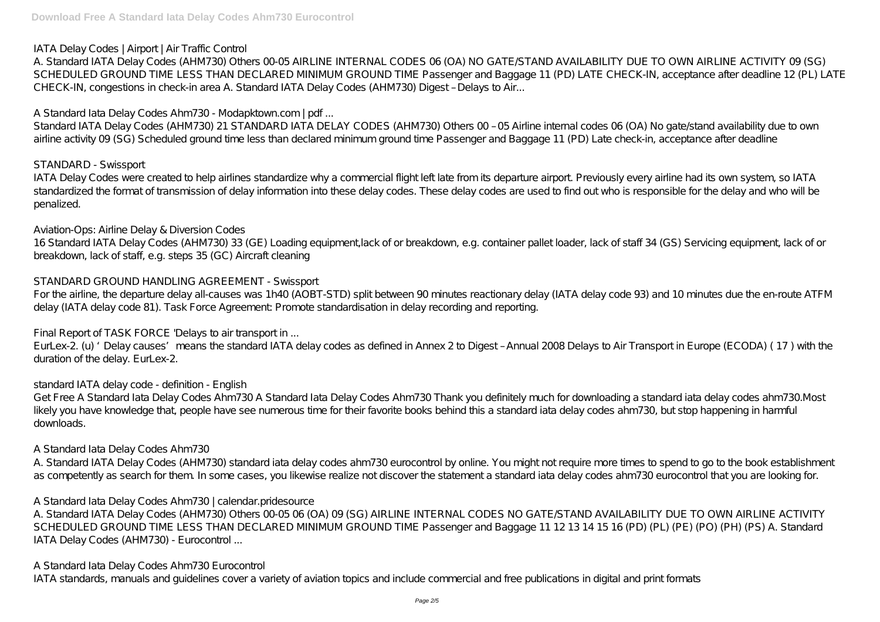IATA Delay Codes | Airport | Air Traffic Control

A. Standard IATA Delay Codes (AHM730) Others 00-05 AIRLINE INTERNAL CODES 06 (OA) NO GATE/STAND AVAILABILITY DUE TO OWN AIRLINE ACTIVITY 09 (SG) SCHEDULED GROUND TIME LESS THAN DECLARED MINIMUM GROUND TIME Passenger and Baggage 11 (PD) LATE CHECK-IN, acceptance after deadline 12 (PL) LATE CHECK-IN, congestions in check-in area A. Standard IATA Delay Codes (AHM730) Digest – Delays to Air...

Standard IATA Delay Codes (AHM730) 21 STANDARD IATA DELAY CODES (AHM730) Others 00 - 05 Airline internal codes 06 (OA) No gate/stand availability due to own airline activity 09 (SG) Scheduled ground time less than declared minimum ground time Passenger and Baggage 11 (PD) Late check-in, acceptance after deadline

A Standard Iata Delay Codes Ahm730 - Modapktown.com | pdf ...

For the airline, the departure delay all-causes was 1h40 (AOBT-STD) split between 90 minutes reactionary delay (IATA delay code 93) and 10 minutes due the en-route ATFM delay (IATA delay code 81). Task Force Agreement: Promote standardisation in delay recording and reporting.

# STANDARD - Swissport

IATA Delay Codes were created to help airlines standardize why a commercial flight left late from its departure airport. Previously every airline had its own system, so IATA standardized the format of transmission of delay information into these delay codes. These delay codes are used to find out who is responsible for the delay and who will be penalized.

A. Standard IATA Delay Codes (AHM730) standard iata delay codes ahm730 eurocontrol by online. You might not require more times to spend to go to the book establishment as competently as search for them. In some cases, you likewise realize not discover the statement a standard iata delay codes ahm730 eurocontrol that you are looking for.

Aviation-Ops: Airline Delay & Diversion Codes 16 Standard IATA Delay Codes (AHM730) 33 (GE) Loading equipment,lack of or breakdown, e.g. container pallet loader, lack of staff 34 (GS) Servicing equipment, lack of or breakdown, lack of staff, e.g. steps 35 (GC) Aircraft cleaning

STANDARD GROUND HANDLING AGREEMENT - Swissport

Final Report of TASK FORCE 'Delays to air transport in ...

EurLex-2. (u) 'Delay causes' means the standard IATA delay codes as defined in Annex 2 to Digest – Annual 2008 Delays to Air Transport in Europe (ECODA) ( 17 ) with the duration of the delay. EurLex-2.

standard IATA delay code - definition - English

Get Free A Standard Iata Delay Codes Ahm730 A Standard Iata Delay Codes Ahm730 Thank you definitely much for downloading a standard iata delay codes ahm730.Most likely you have knowledge that, people have see numerous time for their favorite books behind this a standard iata delay codes ahm730, but stop happening in harmful downloads.

A Standard Iata Delay Codes Ahm730

A Standard Iata Delay Codes Ahm730 | calendar.pridesource

A. Standard IATA Delay Codes (AHM730) Others 00-05 06 (OA) 09 (SG) AIRLINE INTERNAL CODES NO GATE/STAND AVAILABILITY DUE TO OWN AIRLINE ACTIVITY SCHEDULED GROUND TIME LESS THAN DECLARED MINIMUM GROUND TIME Passenger and Baggage 11 12 13 14 15 16 (PD) (PL) (PE) (PO) (PH) (PS) A. Standard IATA Delay Codes (AHM730) - Eurocontrol ...

A Standard Iata Delay Codes Ahm730 Eurocontrol IATA standards, manuals and guidelines cover a variety of aviation topics and include commercial and free publications in digital and print formats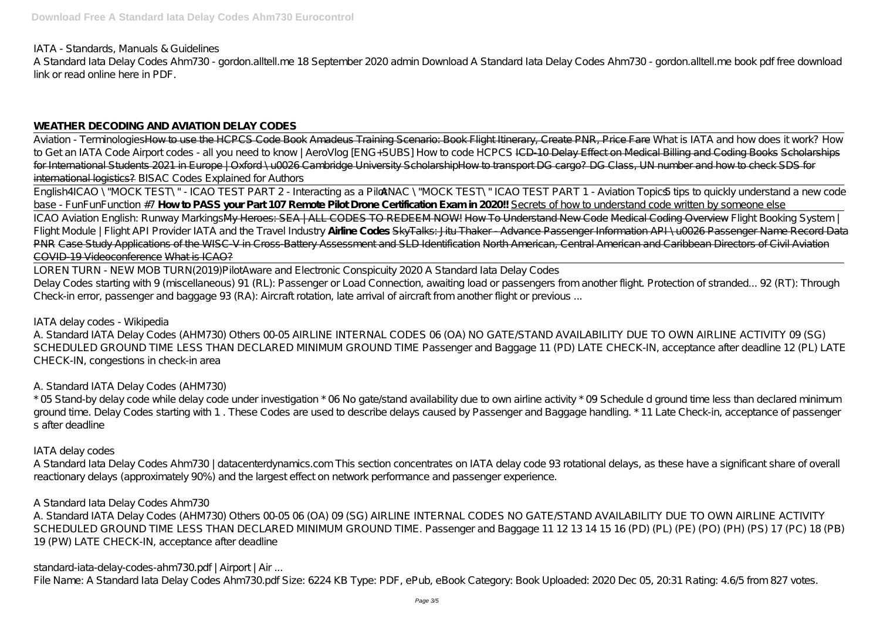IATA - Standards, Manuals & Guidelines

A Standard Iata Delay Codes Ahm730 - gordon.alltell.me 18 September 2020 admin Download A Standard Iata Delay Codes Ahm730 - gordon.alltell.me book pdf free download link or read online here in PDF.

### **WEATHER DECODING AND AVIATION DELAY CODES**

Aviation - TerminologiesHow to use the HCPCS Code Book Amadeus Training Scenario: Book Flight Itinerary, Create PNR, Price Fare *What is IATA and how does it work?* How to Get an IATA Code Airport codes - all you need to know / AeroVlog /ENG+SUBS] How to code HCPCS ICD-10 Delay Effect on Medical Billing and Coding Books Scholarships for International Students 2021 in Europe | Oxford \u0026 Cambridge University ScholarshipHow to transport DG cargo? DG Class, UN number and how to check SDS for international logistics? *BISAC Codes Explained for Authors*

English4ICAO \"MOCK TEST\" - ICAO TEST PART 2 - Interacting as a Pilo4*NAC \"MOCK TEST\" ICAO TEST PART 1 - Aviation Topics5 tips to quickly understand a new code base - FunFunFunction #7* **How to PASS your Part 107 Remote Pilot Drone Certification Exam in 2020!!** Secrets of how to understand code written by someone else ICAO Aviation English: Runway MarkingsMy Heroes: SEA | ALL CODES TO REDEEM NOW! How To Understand New Code Medical Coding Overview *Flight Booking System | Flight Module | Flight API Provider IATA and the Travel Industry* **Airline Codes** SkyTalks: Jitu Thaker - Advance Passenger Information API \u0026 Passenger Name Record Data PNR Case Study Applications of the WISC-V in Cross-Battery Assessment and SLD Identification North American, Central American and Caribbean Directors of Civil Aviation COVID-19 Videoconference What is ICAO?

\* 05 Stand-by delay code while delay code under investigation \* 06 No gate/stand availability due to own airline activity \* 09 Schedule d ground time less than declared minimum ground time. Delay Codes starting with 1 . These Codes are used to describe delays caused by Passenger and Baggage handling. \* 11 Late Check-in, acceptance of passenger s after deadline

LOREN TURN - NEW MOB TURN(2019)*PilotAware and Electronic Conspicuity 2020* A Standard Iata Delay Codes Delay Codes starting with 9 (miscellaneous) 91 (RL): Passenger or Load Connection, awaiting load or passengers from another flight. Protection of stranded... 92 (RT): Through Check-in error, passenger and baggage 93 (RA): Aircraft rotation, late arrival of aircraft from another flight or previous ...

IATA delay codes - Wikipedia

A. Standard IATA Delay Codes (AHM730) Others 00-05 AIRLINE INTERNAL CODES 06 (OA) NO GATE/STAND AVAILABILITY DUE TO OWN AIRLINE ACTIVITY 09 (SG) SCHEDULED GROUND TIME LESS THAN DECLARED MINIMUM GROUND TIME Passenger and Baggage 11 (PD) LATE CHECK-IN, acceptance after deadline 12 (PL) LATE CHECK-IN, congestions in check-in area

A. Standard IATA Delay Codes (AHM730)

IATA delay codes

A Standard Iata Delay Codes Ahm730 | datacenterdynamics.com This section concentrates on IATA delay code 93 rotational delays, as these have a significant share of overall reactionary delays (approximately 90%) and the largest effect on network performance and passenger experience.

A Standard Iata Delay Codes Ahm730

A. Standard IATA Delay Codes (AHM730) Others 00-05 06 (OA) 09 (SG) AIRLINE INTERNAL CODES NO GATE/STAND AVAILABILITY DUE TO OWN AIRLINE ACTIVITY SCHEDULED GROUND TIME LESS THAN DECLARED MINIMUM GROUND TIME. Passenger and Baggage 11 12 13 14 15 16 (PD) (PL) (PE) (PO) (PH) (PS) 17 (PC) 18 (PB) 19 (PW) LATE CHECK-IN, acceptance after deadline

standard-iata-delay-codes-ahm730.pdf | Airport | Air ...

File Name: A Standard Iata Delay Codes Ahm730.pdf Size: 6224 KB Type: PDF, ePub, eBook Category: Book Uploaded: 2020 Dec 05, 20:31 Rating: 4.6/5 from 827 votes.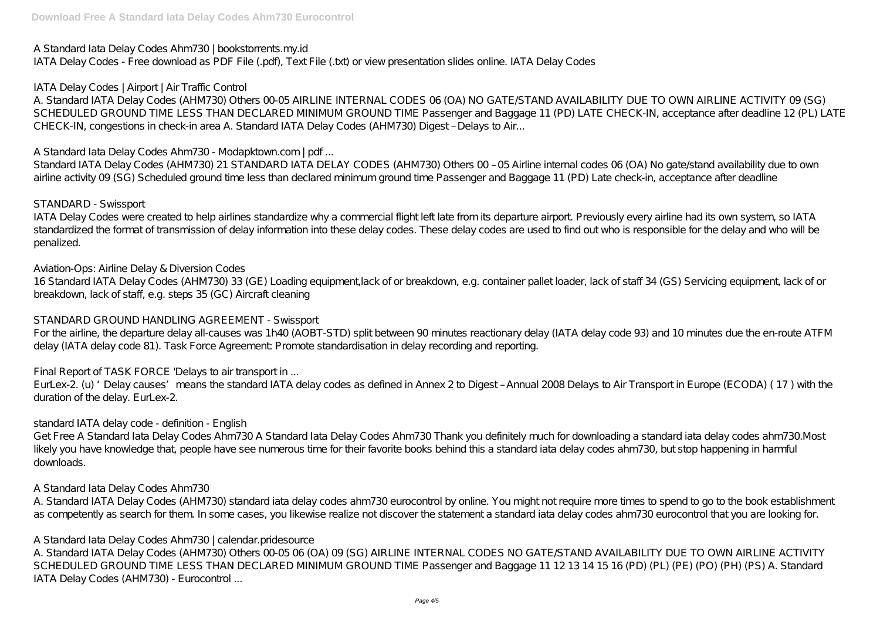A Standard Iata Delay Codes Ahm730 | bookstorrents.my.id IATA Delay Codes - Free download as PDF File (.pdf), Text File (.txt) or view presentation slides online. IATA Delay Codes

IATA Delay Codes | Airport | Air Traffic Control

A. Standard IATA Delay Codes (AHM730) Others 00-05 AIRLINE INTERNAL CODES 06 (OA) NO GATE/STAND AVAILABILITY DUE TO OWN AIRLINE ACTIVITY 09 (SG) SCHEDULED GROUND TIME LESS THAN DECLARED MINIMUM GROUND TIME Passenger and Baggage 11 (PD) LATE CHECK-IN, acceptance after deadline 12 (PL) LATE CHECK-IN, congestions in check-in area A. Standard IATA Delay Codes (AHM730) Digest – Delays to Air...

Standard IATA Delay Codes (AHM730) 21 STANDARD IATA DELAY CODES (AHM730) Others 00 - 05 Airline internal codes 06 (OA) No gate/stand availability due to own airline activity 09 (SG) Scheduled ground time less than declared minimum ground time Passenger and Baggage 11 (PD) Late check-in, acceptance after deadline

A Standard Iata Delay Codes Ahm730 - Modapktown.com | pdf ...

For the airline, the departure delay all-causes was 1h40 (AOBT-STD) split between 90 minutes reactionary delay (IATA delay code 93) and 10 minutes due the en-route ATFM delay (IATA delay code 81). Task Force Agreement: Promote standardisation in delay recording and reporting.

EurLex-2. (u) 'Delay causes' means the standard IATA delay codes as defined in Annex 2 to Digest – Annual 2008 Delays to Air Transport in Europe (ECODA) ( 17 ) with the duration of the delay. EurLex-2.

# STANDARD - Swissport

IATA Delay Codes were created to help airlines standardize why a commercial flight left late from its departure airport. Previously every airline had its own system, so IATA standardized the format of transmission of delay information into these delay codes. These delay codes are used to find out who is responsible for the delay and who will be penalized.

A. Standard IATA Delay Codes (AHM730) standard iata delay codes ahm730 eurocontrol by online. You might not require more times to spend to go to the book establishment as competently as search for them. In some cases, you likewise realize not discover the statement a standard iata delay codes ahm730 eurocontrol that you are looking for.

Aviation-Ops: Airline Delay & Diversion Codes

16 Standard IATA Delay Codes (AHM730) 33 (GE) Loading equipment,lack of or breakdown, e.g. container pallet loader, lack of staff 34 (GS) Servicing equipment, lack of or breakdown, lack of staff, e.g. steps 35 (GC) Aircraft cleaning

# STANDARD GROUND HANDLING AGREEMENT - Swissport

Final Report of TASK FORCE 'Delays to air transport in ...

### standard IATA delay code - definition - English

Get Free A Standard Iata Delay Codes Ahm730 A Standard Iata Delay Codes Ahm730 Thank you definitely much for downloading a standard iata delay codes ahm730.Most likely you have knowledge that, people have see numerous time for their favorite books behind this a standard iata delay codes ahm730, but stop happening in harmful downloads.

A Standard Iata Delay Codes Ahm730

A Standard Iata Delay Codes Ahm730 | calendar.pridesource

A. Standard IATA Delay Codes (AHM730) Others 00-05 06 (OA) 09 (SG) AIRLINE INTERNAL CODES NO GATE/STAND AVAILABILITY DUE TO OWN AIRLINE ACTIVITY SCHEDULED GROUND TIME LESS THAN DECLARED MINIMUM GROUND TIME Passenger and Baggage 11 12 13 14 15 16 (PD) (PL) (PE) (PO) (PH) (PS) A. Standard IATA Delay Codes (AHM730) - Eurocontrol ...